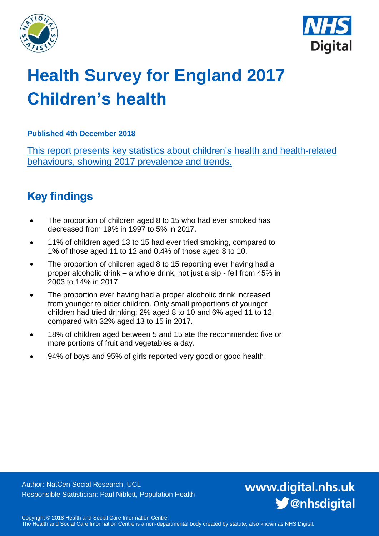



# **Health Survey for England 2017 Children's health**

## **Published 4th December 2018**

This report presents key statistics about children's health and health-related behaviours, showing 2017 prevalence and trends.

## <span id="page-0-0"></span>**Key findings**

- The proportion of children aged 8 to 15 who had ever smoked has decreased from 19% in 1997 to 5% in 2017.
- 11% of children aged 13 to 15 had ever tried smoking, compared to 1% of those aged 11 to 12 and 0.4% of those aged 8 to 10.
- The proportion of children aged 8 to 15 reporting ever having had a proper alcoholic drink – a whole drink, not just a sip - fell from 45% in 2003 to 14% in 2017.
- The proportion ever having had a proper alcoholic drink increased from younger to older children. Only small proportions of younger children had tried drinking: 2% aged 8 to 10 and 6% aged 11 to 12, compared with 32% aged 13 to 15 in 2017.
- 18% of children aged between 5 and 15 ate the recommended five or more portions of fruit and vegetables a day.
- 94% of boys and 95% of girls reported very good or good health.

Author: NatCen Social Research, UCL Responsible Statistician: Paul Niblett, Population Health www.digital.nhs.uk S @nhsdigital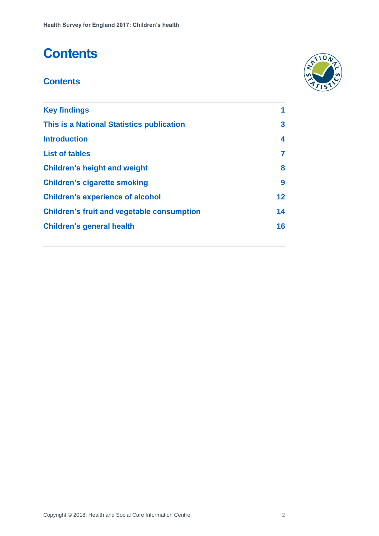## **Contents**

## **Contents**



| <b>Key findings</b>                               | 1  |
|---------------------------------------------------|----|
| This is a National Statistics publication         | 3  |
| <b>Introduction</b>                               | 4  |
| <b>List of tables</b>                             | 7  |
| <b>Children's height and weight</b>               | 8  |
| <b>Children's cigarette smoking</b>               | 9  |
| <b>Children's experience of alcohol</b>           | 12 |
| <b>Children's fruit and vegetable consumption</b> | 14 |
| <b>Children's general health</b>                  | 16 |
|                                                   |    |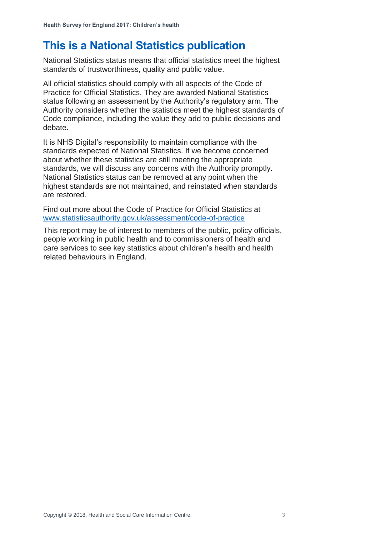## **This is a National Statistics publication**

National Statistics status means that official statistics meet the highest standards of trustworthiness, quality and public value.

All official statistics should comply with all aspects of the Code of Practice for Official Statistics. They are awarded National Statistics status following an assessment by the Authority's regulatory arm. The Authority considers whether the statistics meet the highest standards of Code compliance, including the value they add to public decisions and debate.

It is NHS Digital's responsibility to maintain compliance with the standards expected of National Statistics. If we become concerned about whether these statistics are still meeting the appropriate standards, we will discuss any concerns with the Authority promptly. National Statistics status can be removed at any point when the highest standards are not maintained, and reinstated when standards are restored.

Find out more about the Code of Practice for Official Statistics at [www.statisticsauthority.gov.uk/assessment/code-of-practice](http://www.statisticsauthority.gov.uk/assessment/code-of-practice)

This report may be of interest to members of the public, policy officials, people working in public health and to commissioners of health and care services to see key statistics about children's health and health related behaviours in England.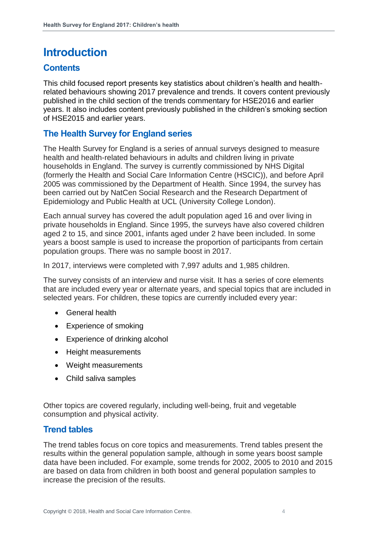## <span id="page-3-0"></span>**Introduction**

## **Contents**

This child focused report presents key statistics about children's health and healthrelated behaviours showing 2017 prevalence and trends. It covers content previously published in the child section of the trends commentary for HSE2016 and earlier years. It also includes content previously published in the children's smoking section of HSE2015 and earlier years.

## **The Health Survey for England series**

The Health Survey for England is a series of annual surveys designed to measure health and health-related behaviours in adults and children living in private households in England. The survey is currently commissioned by NHS Digital (formerly the Health and Social Care Information Centre (HSCIC)), and before April 2005 was commissioned by the Department of Health. Since 1994, the survey has been carried out by NatCen Social Research and the Research Department of Epidemiology and Public Health at UCL (University College London).

Each annual survey has covered the adult population aged 16 and over living in private households in England. Since 1995, the surveys have also covered children aged 2 to 15, and since 2001, infants aged under 2 have been included. In some years a boost sample is used to increase the proportion of participants from certain population groups. There was no sample boost in 2017.

In 2017, interviews were completed with 7,997 adults and 1,985 children.

The survey consists of an interview and nurse visit. It has a series of core elements that are included every year or alternate years, and special topics that are included in selected years. For children, these topics are currently included every year:

- General health
- Experience of smoking
- Experience of drinking alcohol
- Height measurements
- Weight measurements
- Child saliva samples

Other topics are covered regularly, including well-being, fruit and vegetable consumption and physical activity.

## **Trend tables**

The trend tables focus on core topics and measurements. Trend tables present the results within the general population sample, although in some years boost sample data have been included. For example, some trends for 2002, 2005 to 2010 and 2015 are based on data from children in both boost and general population samples to increase the precision of the results.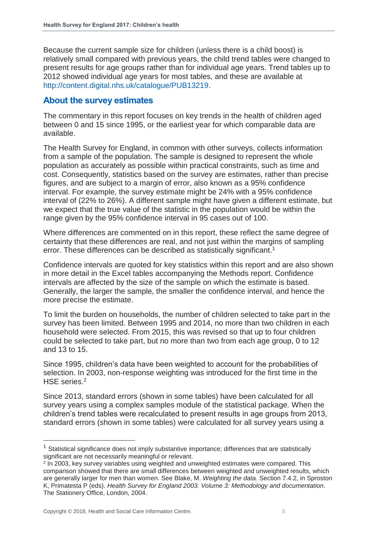Because the current sample size for children (unless there is a child boost) is relatively small compared with previous years, the child trend tables were changed to present results for age groups rather than for individual age years. Trend tables up to 2012 showed individual age years for most tables, and these are available at [http://content.digital.nhs.uk/catalogue/PUB13219.](http://content.digital.nhs.uk/catalogue/PUB13219)

### **About the survey estimates**

The commentary in this report focuses on key trends in the health of children aged between 0 and 15 since 1995, or the earliest year for which comparable data are available.

The Health Survey for England, in common with other surveys, collects information from a sample of the population. The sample is designed to represent the whole population as accurately as possible within practical constraints, such as time and cost. Consequently, statistics based on the survey are estimates, rather than precise figures, and are subject to a margin of error, also known as a 95% confidence interval. For example, the survey estimate might be 24% with a 95% confidence interval of (22% to 26%). A different sample might have given a different estimate, but we expect that the true value of the statistic in the population would be within the range given by the 95% confidence interval in 95 cases out of 100.

Where differences are commented on in this report, these reflect the same degree of certainty that these differences are real, and not just within the margins of sampling error. These differences can be described as statistically significant.<sup>1</sup>

Confidence intervals are quoted for key statistics within this report and are also shown in more detail in the Excel tables accompanying the Methods report. Confidence intervals are affected by the size of the sample on which the estimate is based. Generally, the larger the sample, the smaller the confidence interval, and hence the more precise the estimate.

To limit the burden on households, the number of children selected to take part in the survey has been limited. Between 1995 and 2014, no more than two children in each household were selected. From 2015, this was revised so that up to four children could be selected to take part, but no more than two from each age group, 0 to 12 and 13 to 15.

Since 1995, children's data have been weighted to account for the probabilities of selection. In 2003, non-response weighting was introduced for the first time in the HSE series.<sup>2</sup>

Since 2013, standard errors (shown in some tables) have been calculated for all survey years using a complex samples module of the statistical package. When the children's trend tables were recalculated to present results in age groups from 2013, standard errors (shown in some tables) were calculated for all survey years using a

 $1$  Statistical significance does not imply substantive importance; differences that are statistically significant are not necessarily meaningful or relevant.

<sup>2</sup> In 2003, key survey variables using weighted and unweighted estimates were compared. This comparison showed that there are small differences between weighted and unweighted results, which are generally larger for men than women. See Blake, M. *Weighting the data.* Section 7.4.2, in Sproston K, Primatesta P (eds). *Health Survey for England 2003. Volume 3: Methodology and documentation*. The Stationery Office, London, 2004.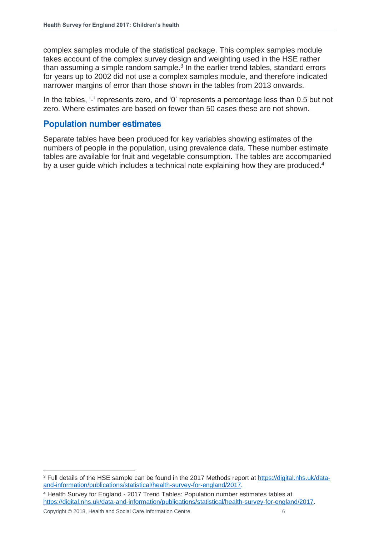complex samples module of the statistical package. This complex samples module takes account of the complex survey design and weighting used in the HSE rather than assuming a simple random sample. $3$  In the earlier trend tables, standard errors for years up to 2002 did not use a complex samples module, and therefore indicated narrower margins of error than those shown in the tables from 2013 onwards.

In the tables, '-' represents zero, and '0' represents a percentage less than 0.5 but not zero. Where estimates are based on fewer than 50 cases these are not shown.

### **Population number estimates**

Separate tables have been produced for key variables showing estimates of the numbers of people in the population, using prevalence data. These number estimate tables are available for fruit and vegetable consumption. The tables are accompanied by a user guide which includes a technical note explaining how they are produced.<sup>4</sup>

<sup>4</sup> Health Survey for England - 2017 Trend Tables: Population number estimates tables at [https://digital.nhs.uk/data-and-information/publications/statistical/health-survey-for-england/2017.](https://digital.nhs.uk/data-and-information/publications/statistical/health-survey-for-england/2017)

<sup>3</sup> Full details of the HSE sample can be found in the 2017 Methods report at [https://digital.nhs.uk/data](https://digital.nhs.uk/data-and-information/publications/statistical/health-survey-for-england/2017)[and-information/publications/statistical/health-survey-for-england/2017.](https://digital.nhs.uk/data-and-information/publications/statistical/health-survey-for-england/2017)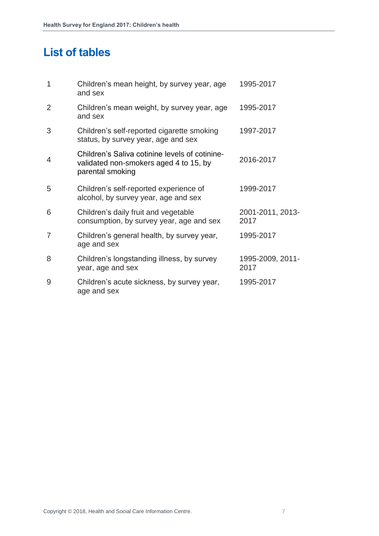## <span id="page-6-0"></span>**List of tables**

| $\overline{1}$ | Children's mean height, by survey year, age<br>and sex                                                       | 1995-2017                |
|----------------|--------------------------------------------------------------------------------------------------------------|--------------------------|
| 2              | Children's mean weight, by survey year, age<br>and sex                                                       | 1995-2017                |
| 3              | Children's self-reported cigarette smoking<br>status, by survey year, age and sex                            | 1997-2017                |
| $\overline{4}$ | Children's Saliva cotinine levels of cotinine-<br>validated non-smokers aged 4 to 15, by<br>parental smoking | 2016-2017                |
| 5              | Children's self-reported experience of<br>alcohol, by survey year, age and sex                               | 1999-2017                |
| 6              | Children's daily fruit and vegetable<br>consumption, by survey year, age and sex                             | 2001-2011, 2013-<br>2017 |
| 7              | Children's general health, by survey year,<br>age and sex                                                    | 1995-2017                |
| 8              | Children's longstanding illness, by survey<br>year, age and sex                                              | 1995-2009, 2011-<br>2017 |
| 9              | Children's acute sickness, by survey year,<br>age and sex                                                    | 1995-2017                |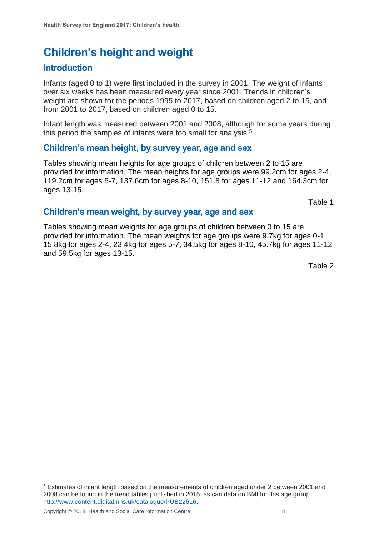## <span id="page-7-0"></span>**Children's height and weight**

## **Introduction**

Infants (aged 0 to 1) were first included in the survey in 2001. The weight of infants over six weeks has been measured every year since 2001. Trends in children's weight are shown for the periods 1995 to 2017, based on children aged 2 to 15, and from 2001 to 2017, based on children aged 0 to 15.

Infant length was measured between 2001 and 2008, although for some years during this period the samples of infants were too small for analysis.<sup>5</sup>

## **Children's mean height, by survey year, age and sex**

Tables showing mean heights for age groups of children between 2 to 15 are provided for information. The mean heights for age groups were 99.2cm for ages 2-4, 119.2cm for ages 5-7, 137.6cm for ages 8-10, 151.8 for ages 11-12 and 164.3cm for ages 13-15.

Table 1

### **Children's mean weight, by survey year, age and sex**

Tables showing mean weights for age groups of children between 0 to 15 are provided for information. The mean weights for age groups were 9.7kg for ages 0-1, 15.8kg for ages 2-4, 23.4kg for ages 5-7, 34.5kg for ages 8-10, 45.7kg for ages 11-12 and 59.5kg for ages 13-15.

Table 2

Copyright © 2018, Health and Social Care Information Centre. 8

<sup>5</sup> Estimates of infant length based on the measurements of children aged under 2 between 2001 and 2008 can be found in the trend tables published in 2015, as can data on BMI for this age group. [http://www.content.digital.nhs.uk/catalogue/PUB22616.](http://www.content.digital.nhs.uk/catalogue/PUB22616)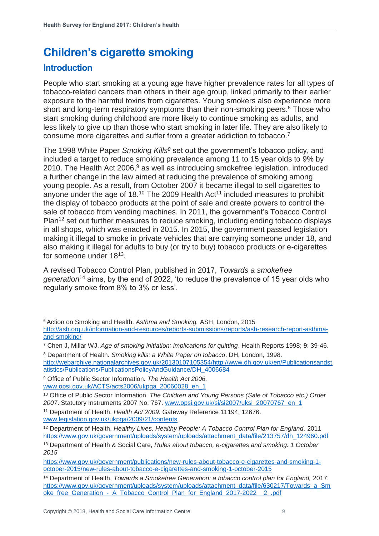## <span id="page-8-0"></span>**Children's cigarette smoking**

## **Introduction**

l

People who start smoking at a young age have higher prevalence rates for all types of tobacco-related cancers than others in their age group, linked primarily to their earlier exposure to the harmful toxins from cigarettes. Young smokers also experience more short and long-term respiratory symptoms than their non-smoking peers.<sup>6</sup> Those who start smoking during childhood are more likely to continue smoking as adults, and less likely to give up than those who start smoking in later life. They are also likely to consume more cigarettes and suffer from a greater addiction to tobacco.<sup>7</sup>

The 1998 White Paper *Smoking Kills<sup>8</sup>* set out the government's tobacco policy, and included a target to reduce smoking prevalence among 11 to 15 year olds to 9% by 2010. The Health Act 2006,<sup>9</sup> as well as introducing smokefree legislation, introduced a further change in the law aimed at reducing the prevalence of smoking among young people. As a result, from October 2007 it became illegal to sell cigarettes to anyone under the age of 18.<sup>10</sup> The 2009 Health Act<sup>11</sup> included measures to prohibit the display of tobacco products at the point of sale and create powers to control the sale of tobacco from vending machines. In 2011, the government's Tobacco Control Plan<sup>12</sup> set out further measures to reduce smoking, including ending tobacco displays in all shops, which was enacted in 2015. In 2015, the government passed legislation making it illegal to smoke in private vehicles that are carrying someone under 18, and also making it illegal for adults to buy (or try to buy) tobacco products or e-cigarettes for someone under 18<sup>13</sup>.

A revised Tobacco Control Plan, published in 2017, *Towards a smokefree generation*<sup>14</sup> aims, by the end of 2022, 'to reduce the prevalence of 15 year olds who regularly smoke from 8% to 3% or less'.

[http://webarchive.nationalarchives.gov.uk/20130107105354/http://www.dh.gov.uk/en/Publicationsandst](http://webarchive.nationalarchives.gov.uk/20130107105354/http:/www.dh.gov.uk/en/Publicationsandstatistics/Publications/PublicationsPolicyAndGuidance/DH_4006684) [atistics/Publications/PublicationsPolicyAndGuidance/DH\\_4006684](http://webarchive.nationalarchives.gov.uk/20130107105354/http:/www.dh.gov.uk/en/Publicationsandstatistics/Publications/PublicationsPolicyAndGuidance/DH_4006684) 

<sup>6</sup> Action on Smoking and Health. *Asthma and Smoking.* ASH, London, 2015 [http://ash.org.uk/information-and-resources/reports-submissions/reports/ash-research-report-asthma](http://ash.org.uk/information-and-resources/reports-submissions/reports/ash-research-report-asthma-and-smoking/)[and-smoking/](http://ash.org.uk/information-and-resources/reports-submissions/reports/ash-research-report-asthma-and-smoking/) 

<sup>7</sup> Chen J, Millar WJ. *Age of smoking initiation: implications for quitting*. Health Reports 1998; **9**: 39-46. <sup>8</sup> Department of Health. *Smoking kills: a White Paper on tobacco*. DH, London, 1998.

<sup>9</sup> Office of Public Sector Information. *The Health Act 2006.* [www.opsi.gov.uk/ACTS/acts2006/ukpga\\_20060028\\_en\\_1](http://www.opsi.gov.uk/ACTS/acts2006/ukpga_20060028_en_1)

<sup>10</sup> Office of Public Sector Information. *The Children and Young Persons (Sale of Tobacco etc.) Order 2007*. Statutory Instruments 2007 No. 767. [www.opsi.gov.uk/si/si2007/uksi\\_20070767\\_en\\_1](http://www.opsi.gov.uk/si/si2007/uksi_20070767_en_1)

<sup>11</sup> Department of Health. *Health Act 2009.* Gateway Reference 11194, 12676. [www.legislation.gov.uk/ukpga/2009/21/contents](http://www.legislation.gov.uk/ukpga/2009/21/contents)

<sup>12</sup> Department of Health, *Healthy Lives, Healthy People: A Tobacco Control Plan for England,* 2011 [https://www.gov.uk/government/uploads/system/uploads/attachment\\_data/file/213757/dh\\_124960.pdf](https://www.gov.uk/government/uploads/system/uploads/attachment_data/file/213757/dh_124960.pdf)

<sup>13</sup> Department of Health & Social Care, *Rules about tobacco, e-cigarettes and smoking: 1 October 2015*

[https://www.gov.uk/government/publications/new-rules-about-tobacco-e-cigarettes-and-smoking-1](https://www.gov.uk/government/publications/new-rules-about-tobacco-e-cigarettes-and-smoking-1-october-2015/new-rules-about-tobacco-e-cigarettes-and-smoking-1-october-2015) [october-2015/new-rules-about-tobacco-e-cigarettes-and-smoking-1-october-2015](https://www.gov.uk/government/publications/new-rules-about-tobacco-e-cigarettes-and-smoking-1-october-2015/new-rules-about-tobacco-e-cigarettes-and-smoking-1-october-2015)

<sup>14</sup> Department of Health, *Towards a Smokefree Generation: a tobacco control plan for England,* 2017. [https://www.gov.uk/government/uploads/system/uploads/attachment\\_data/file/630217/Towards\\_a\\_Sm](https://www.gov.uk/government/uploads/system/uploads/attachment_data/file/630217/Towards_a_Smoke_free_Generation_-_A_Tobacco_Control_Plan_for_England_2017-2022__2_.pdf) [oke\\_free\\_Generation\\_-\\_A\\_Tobacco\\_Control\\_Plan\\_for\\_England\\_2017-2022\\_\\_2\\_.pdf](https://www.gov.uk/government/uploads/system/uploads/attachment_data/file/630217/Towards_a_Smoke_free_Generation_-_A_Tobacco_Control_Plan_for_England_2017-2022__2_.pdf)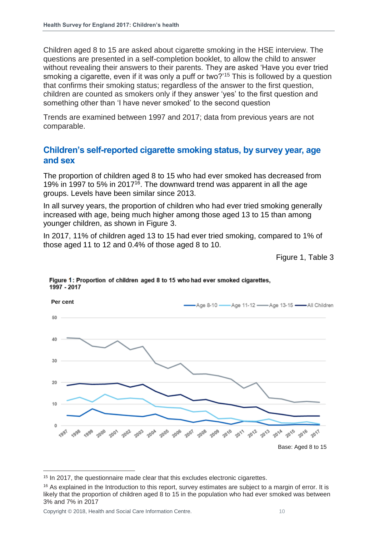Children aged 8 to 15 are asked about cigarette smoking in the HSE interview. The questions are presented in a self-completion booklet, to allow the child to answer without revealing their answers to their parents. They are asked 'Have you ever tried smoking a cigarette, even if it was only a puff or two?'<sup>15</sup> This is followed by a question that confirms their smoking status; regardless of the answer to the first question, children are counted as smokers only if they answer 'yes' to the first question and something other than 'I have never smoked' to the second question

Trends are examined between 1997 and 2017; data from previous years are not comparable.

### **Children's self-reported cigarette smoking status, by survey year, age and sex**

The proportion of children aged 8 to 15 who had ever smoked has decreased from 19% in 1997 to 5% in 2017<sup>16</sup>. The downward trend was apparent in all the age groups. Levels have been similar since 2013.

In all survey years, the proportion of children who had ever tried smoking generally increased with age, being much higher among those aged 13 to 15 than among younger children, as shown in Figure 3.

In 2017, 11% of children aged 13 to 15 had ever tried smoking, compared to 1% of those aged 11 to 12 and 0.4% of those aged 8 to 10.

Figure 1, Table 3



Figure 1: Proportion of children aged 8 to 15 who had ever smoked cigarettes, 1997 - 2017

<sup>&</sup>lt;sup>15</sup> In 2017, the questionnaire made clear that this excludes electronic cigarettes.

<sup>&</sup>lt;sup>16</sup> As explained in the Introduction to this report, survey estimates are subject to a margin of error. It is likely that the proportion of children aged 8 to 15 in the population who had ever smoked was between 3% and 7% in 2017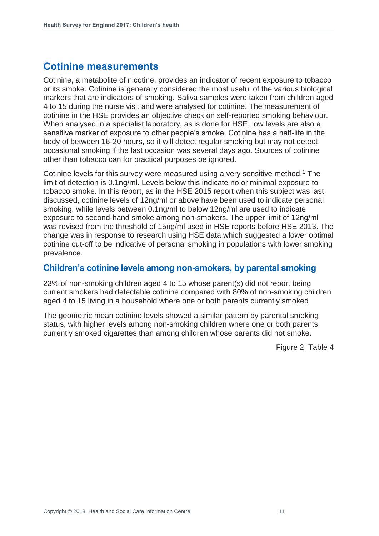## **Cotinine measurements**

Cotinine, a metabolite of nicotine, provides an indicator of recent exposure to tobacco or its smoke. Cotinine is generally considered the most useful of the various biological markers that are indicators of smoking. Saliva samples were taken from children aged 4 to 15 during the nurse visit and were analysed for cotinine. The measurement of cotinine in the HSE provides an objective check on self-reported smoking behaviour. When analysed in a specialist laboratory, as is done for HSE, low levels are also a sensitive marker of exposure to other people's smoke. Cotinine has a half-life in the body of between 16-20 hours, so it will detect regular smoking but may not detect occasional smoking if the last occasion was several days ago. Sources of cotinine other than tobacco can for practical purposes be ignored.

Cotinine levels for this survey were measured using a very sensitive method.<sup>1</sup> The limit of detection is 0.1ng/ml. Levels below this indicate no or minimal exposure to tobacco smoke. In this report, as in the HSE 2015 report when this subject was last discussed, cotinine levels of 12ng/ml or above have been used to indicate personal smoking, while levels between 0.1ng/ml to below 12ng/ml are used to indicate exposure to second-hand smoke among non-smokers. The upper limit of 12ng/ml was revised from the threshold of 15ng/ml used in HSE reports before HSE 2013. The change was in response to research using HSE data which suggested a lower optimal cotinine cut-off to be indicative of personal smoking in populations with lower smoking prevalence.

### **Children's cotinine levels among non-smokers, by parental smoking**

23% of non-smoking children aged 4 to 15 whose parent(s) did not report being current smokers had detectable cotinine compared with 80% of non-smoking children aged 4 to 15 living in a household where one or both parents currently smoked

The geometric mean cotinine levels showed a similar pattern by parental smoking status, with higher levels among non-smoking children where one or both parents currently smoked cigarettes than among children whose parents did not smoke.

Figure 2, Table 4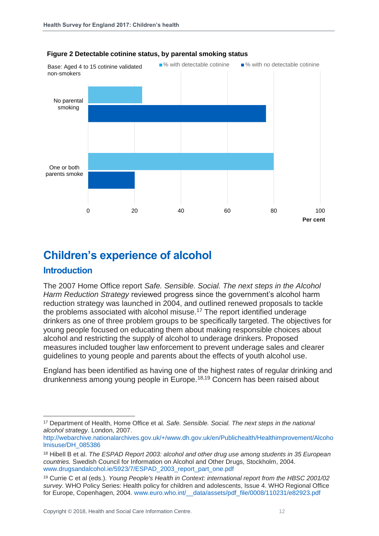

#### **Figure 2 Detectable cotinine status, by parental smoking status**

## <span id="page-11-0"></span>**Children's experience of alcohol**

### **Introduction**

 $\overline{a}$ 

The 2007 Home Office report *Safe. Sensible. Social. The next steps in the Alcohol Harm Reduction Strategy* reviewed progress since the government's alcohol harm reduction strategy was launched in 2004, and outlined renewed proposals to tackle the problems associated with alcohol misuse.<sup>17</sup> The report identified underage drinkers as one of three problem groups to be specifically targeted. The objectives for young people focused on educating them about making responsible choices about alcohol and restricting the supply of alcohol to underage drinkers. Proposed measures included tougher law enforcement to prevent underage sales and clearer guidelines to young people and parents about the effects of youth alcohol use.

England has been identified as having one of the highest rates of regular drinking and drunkenness among young people in Europe.18,19 Concern has been raised about

<sup>17</sup> Department of Health, Home Office et al. *Safe. Sensible. Social. The next steps in the national alcohol strategy*. London, 2007.

[http://webarchive.nationalarchives.gov.uk/+/www.dh.gov.uk/en/Publichealth/Healthimprovement/Alcoho](http://webarchive.nationalarchives.gov.uk/+/www.dh.gov.uk/en/Publichealth/Healthimprovement/Alcoholmisuse/DH_085386) [lmisuse/DH\\_085386](http://webarchive.nationalarchives.gov.uk/+/www.dh.gov.uk/en/Publichealth/Healthimprovement/Alcoholmisuse/DH_085386)

<sup>18</sup> Hibell B et al. *The ESPAD Report 2003: alcohol and other drug use among students in 35 European countries.* Swedish Council for Information on Alcohol and Other Drugs, Stockholm, 2004. [www.drugsandalcohol.ie/5923/7/ESPAD\\_2003\\_report\\_part\\_one.pdf](http://www.drugsandalcohol.ie/5923/7/ESPAD_2003_report_part_one.pdf)

<sup>19</sup> Currie C et al (eds.). *Young People's Health in Context: international report from the HBSC 2001/02 survey.* WHO Policy Series: Health policy for children and adolescents, Issue 4. WHO Regional Office for Europe, Copenhagen, 2004. www.euro.who.int/ data/assets/pdf\_file/0008/110231/e82923.pdf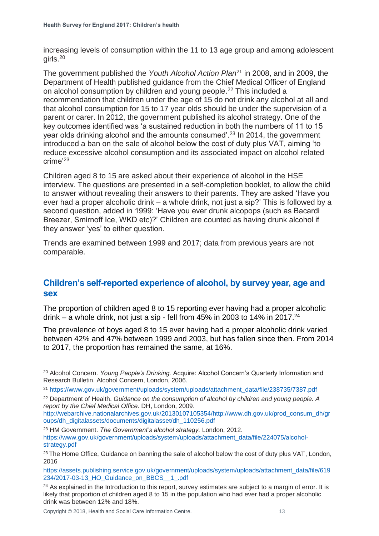increasing levels of consumption within the 11 to 13 age group and among adolescent girls. 20

The government published the *Youth Alcohol Action Plan*<sup>21</sup> in 2008, and in 2009, the Department of Health published guidance from the Chief Medical Officer of England on alcohol consumption by children and young people.<sup>22</sup> This included a recommendation that children under the age of 15 do not drink any alcohol at all and that alcohol consumption for 15 to 17 year olds should be under the supervision of a parent or carer. In 2012, the government published its alcohol strategy. One of the key outcomes identified was 'a sustained reduction in both the numbers of 11 to 15 year olds drinking alcohol and the amounts consumed'.<sup>23</sup> In 2014, the government introduced a ban on the sale of alcohol below the cost of duty plus VAT, aiming 'to reduce excessive alcohol consumption and its associated impact on alcohol related crime'<sup>23</sup>

Children aged 8 to 15 are asked about their experience of alcohol in the HSE interview. The questions are presented in a self-completion booklet, to allow the child to answer without revealing their answers to their parents. They are asked 'Have you ever had a proper alcoholic drink – a whole drink, not just a sip?' This is followed by a second question, added in 1999: 'Have you ever drunk alcopops (such as Bacardi Breezer, Smirnoff Ice, WKD etc)?' Children are counted as having drunk alcohol if they answer 'yes' to either question.

Trends are examined between 1999 and 2017; data from previous years are not comparable.

## **Children's self-reported experience of alcohol, by survey year, age and sex**

The proportion of children aged 8 to 15 reporting ever having had a proper alcoholic drink – a whole drink, not just a sip - fell from  $45\%$  in 2003 to 14% in 2017.<sup>24</sup>

The prevalence of boys aged 8 to 15 ever having had a proper alcoholic drink varied between 42% and 47% between 1999 and 2003, but has fallen since then. From 2014 to 2017, the proportion has remained the same, at 16%.

 $\overline{a}$ <sup>20</sup> Alcohol Concern. *Young People's Drinking.* Acquire: Alcohol Concern's Quarterly Information and Research Bulletin. Alcohol Concern, London, 2006.

<sup>21</sup> [https://www.gov.uk/government/uploads/system/uploads/attachment\\_data/file/238735/7387.pdf](https://www.gov.uk/government/uploads/system/uploads/attachment_data/file/238735/7387.pdf)

<sup>22</sup> Department of Health. *Guidance on the consumption of alcohol by children and young people. A report by the Chief Medical Office.* DH, London, 2009.

[http://webarchive.nationalarchives.gov.uk/20130107105354/http://www.dh.gov.uk/prod\\_consum\\_dh/gr](http://webarchive.nationalarchives.gov.uk/20130107105354/http:/www.dh.gov.uk/prod_consum_dh/groups/dh_digitalassets/documents/digitalasset/dh_110256.pdf) [oups/dh\\_digitalassets/documents/digitalasset/dh\\_110256.pdf](http://webarchive.nationalarchives.gov.uk/20130107105354/http:/www.dh.gov.uk/prod_consum_dh/groups/dh_digitalassets/documents/digitalasset/dh_110256.pdf)

<sup>23</sup> HM Government. *The Government's alcohol strategy.* London, 2012. [https://www.gov.uk/government/uploads/system/uploads/attachment\\_data/file/224075/alcohol](https://www.gov.uk/government/uploads/system/uploads/attachment_data/file/224075/alcohol-strategy.pdf)[strategy.pdf](https://www.gov.uk/government/uploads/system/uploads/attachment_data/file/224075/alcohol-strategy.pdf)

<sup>&</sup>lt;sup>23</sup> The Home Office, Guidance on banning the sale of alcohol below the cost of duty plus VAT, London, 2016

[https://assets.publishing.service.gov.uk/government/uploads/system/uploads/attachment\\_data/file/619](https://assets.publishing.service.gov.uk/government/uploads/system/uploads/attachment_data/file/619234/2017-03-13_HO_Guidance_on_BBCS__1_.pdf) [234/2017-03-13\\_HO\\_Guidance\\_on\\_BBCS\\_\\_1\\_.pdf](https://assets.publishing.service.gov.uk/government/uploads/system/uploads/attachment_data/file/619234/2017-03-13_HO_Guidance_on_BBCS__1_.pdf)

<sup>&</sup>lt;sup>24</sup> As explained in the Introduction to this report, survey estimates are subject to a margin of error. It is likely that proportion of children aged 8 to 15 in the population who had ever had a proper alcoholic drink was between 12% and 18%.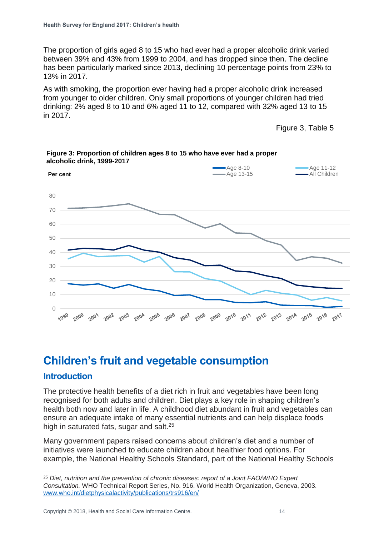The proportion of girls aged 8 to 15 who had ever had a proper alcoholic drink varied between 39% and 43% from 1999 to 2004, and has dropped since then. The decline has been particularly marked since 2013, declining 10 percentage points from 23% to 13% in 2017.

As with smoking, the proportion ever having had a proper alcoholic drink increased from younger to older children. Only small proportions of younger children had tried drinking: 2% aged 8 to 10 and 6% aged 11 to 12, compared with 32% aged 13 to 15 in 2017.

Figure 3, Table 5



**Figure 3: Proportion of children ages 8 to 15 who have ever had a proper alcoholic drink, 1999-2017**

## <span id="page-13-0"></span>**Children's fruit and vegetable consumption**

### **Introduction**

l

The protective health benefits of a diet rich in fruit and vegetables have been long recognised for both adults and children. Diet plays a key role in shaping children's health both now and later in life. A childhood diet abundant in fruit and vegetables can ensure an adequate intake of many essential nutrients and can help displace foods high in saturated fats, sugar and salt.<sup>25</sup>

Many government papers raised concerns about children's diet and a number of initiatives were launched to educate children about healthier food options. For example, the National Healthy Schools Standard, part of the National Healthy Schools

<sup>25</sup> *Diet, nutrition and the prevention of chronic diseases: report of a Joint FAO/WHO Expert Consultation.* WHO Technical Report Series, No. 916. World Health Organization, Geneva, 2003. [www.who.int/dietphysicalactivity/publications/trs916/en/](http://www.who.int/dietphysicalactivity/publications/trs916/en/)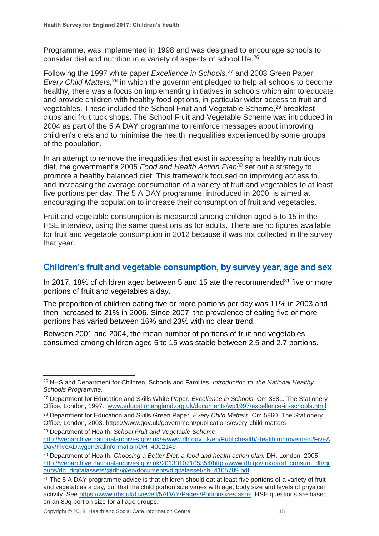Programme, was implemented in 1998 and was designed to encourage schools to consider diet and nutrition in a variety of aspects of school life.<sup>26</sup>

Following the 1997 white paper *Excellence in Schools,*<sup>27</sup> and 2003 Green Paper *Every Child Matters,*<sup>28</sup> in which the government pledged to help all schools to become healthy*,* there was a focus on implementing initiatives in schools which aim to educate and provide children with healthy food options, in particular wider access to fruit and vegetables. These included the School Fruit and Vegetable Scheme,<sup>29</sup> breakfast clubs and fruit tuck shops. The School Fruit and Vegetable Scheme was introduced in 2004 as part of the 5 A DAY programme to reinforce messages about improving children's diets and to minimise the health inequalities experienced by some groups of the population.

In an attempt to remove the inequalities that exist in accessing a healthy nutritious diet, the government's 2005 *Food and Health Action Plan*<sup>30</sup> set out a strategy to promote a healthy balanced diet. This framework focused on improving access to, and increasing the average consumption of a variety of fruit and vegetables to at least five portions per day. The 5 A DAY programme, introduced in 2000, is aimed at encouraging the population to increase their consumption of fruit and vegetables.

Fruit and vegetable consumption is measured among children aged 5 to 15 in the HSE interview, using the same questions as for adults. There are no figures available for fruit and vegetable consumption in 2012 because it was not collected in the survey that year.

### **Children's fruit and vegetable consumption, by survey year, age and sex**

In 2017, 18% of children aged between 5 and 15 ate the recommended<sup>31</sup> five or more portions of fruit and vegetables a day.

The proportion of children eating five or more portions per day was 11% in 2003 and then increased to 21% in 2006. Since 2007, the prevalence of eating five or more portions has varied between 16% and 23% with no clear trend.

Between 2001 and 2004, the mean number of portions of fruit and vegetables consumed among children aged 5 to 15 was stable between 2.5 and 2.7 portions.

<sup>29</sup> Department of Health. *School Fruit and Vegetable Scheme.*  [http://webarchive.nationalarchives.gov.uk/+/www.dh.gov.uk/en/Publichealth/Healthimprovement/FiveA](http://webarchive.nationalarchives.gov.uk/+/www.dh.gov.uk/en/Publichealth/Healthimprovement/FiveADay/FiveADaygeneralinformation/DH_4002149) [Day/FiveADaygeneralinformation/DH\\_4002149](http://webarchive.nationalarchives.gov.uk/+/www.dh.gov.uk/en/Publichealth/Healthimprovement/FiveADay/FiveADaygeneralinformation/DH_4002149)

<sup>26</sup> NHS and Department for Children, Schools and Families. *Introduction to the National Healthy Schools Programme.*

<sup>27</sup> Department for Education and Skills White Paper. *Excellence in Schools.* Cm 3681. The Stationery Office, London, 1997. [www.educationengland.org.uk/documents/wp1997/excellence-in-schools.html](http://www.educationengland.org.uk/documents/wp1997/excellence-in-schools.html)

<sup>28</sup> Department for Education and Skills Green Paper. *Every Child Matters.* Cm 5860. The Stationery Office, London, 2003. https://www.gov.uk/government/publications/every-child-matters

<sup>30</sup> Department of Health. *Choosing a Better Diet: a food and health action plan.* DH, London, 2005. [http://webarchive.nationalarchives.gov.uk/20130107105354/http://www.dh.gov.uk/prod\\_consum\\_dh/gr](http://webarchive.nationalarchives.gov.uk/20130107105354/http:/www.dh.gov.uk/prod_consum_dh/groups/dh_digitalassets/@dh/@en/documents/digitalasset/dh_4105709.pdf) [oups/dh\\_digitalassets/@dh/@en/documents/digitalasset/dh\\_4105709.pdf](http://webarchive.nationalarchives.gov.uk/20130107105354/http:/www.dh.gov.uk/prod_consum_dh/groups/dh_digitalassets/@dh/@en/documents/digitalasset/dh_4105709.pdf)

<sup>&</sup>lt;sup>31</sup> The 5 A DAY programme advice is that children should eat at least five portions of a variety of fruit and vegetables a day, but that the child portion size varies with age, body size and levels of physical activity. See [https://www.nhs.uk/Livewell/5ADAY/Pages/Portionsizes.aspx.](https://www.nhs.uk/Livewell/5ADAY/Pages/Portionsizes.aspx) HSE questions are based on an 80g portion size for all age groups.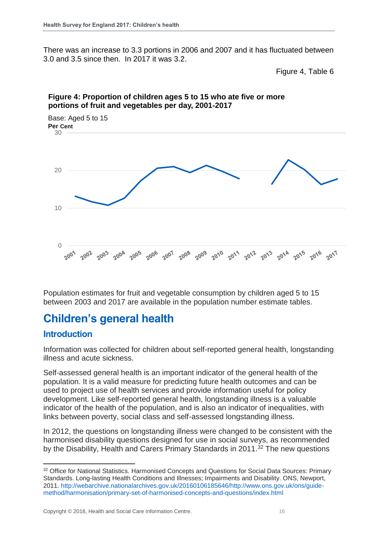There was an increase to 3.3 portions in 2006 and 2007 and it has fluctuated between 3.0 and 3.5 since then. In 2017 it was 3.2.

Figure 4, Table 6



### **Figure 4: Proportion of children ages 5 to 15 who ate five or more portions of fruit and vegetables per day, 2001-2017**

Population estimates for fruit and vegetable consumption by children aged 5 to 15 between 2003 and 2017 are available in the population number estimate tables.

## <span id="page-15-0"></span>**Children's general health**

## **Introduction**

l

Information was collected for children about self-reported general health, longstanding illness and acute sickness.

Self-assessed general health is an important indicator of the general health of the population. It is a valid measure for predicting future health outcomes and can be used to project use of health services and provide information useful for policy development. Like self-reported general health, longstanding illness is a valuable indicator of the health of the population, and is also an indicator of inequalities, with links between poverty, social class and self-assessed longstanding illness.

In 2012, the questions on longstanding illness were changed to be consistent with the harmonised disability questions designed for use in social surveys, as recommended by the Disability, Health and Carers Primary Standards in  $2011.^{32}$  The new questions

<sup>32</sup> Office for National Statistics. Harmonised Concepts and Questions for Social Data Sources: Primary Standards. Long-lasting Health Conditions and Illnesses; Impairments and Disability. ONS, Newport, 2011. [http://webarchive.nationalarchives.gov.uk/20160106185646/http://www.ons.gov.uk/ons/guide](http://webarchive.nationalarchives.gov.uk/20160106185646/http:/www.ons.gov.uk/ons/guide-method/harmonisation/primary-set-of-harmonised-concepts-and-questions/index.html)[method/harmonisation/primary-set-of-harmonised-concepts-and-questions/index.html](http://webarchive.nationalarchives.gov.uk/20160106185646/http:/www.ons.gov.uk/ons/guide-method/harmonisation/primary-set-of-harmonised-concepts-and-questions/index.html)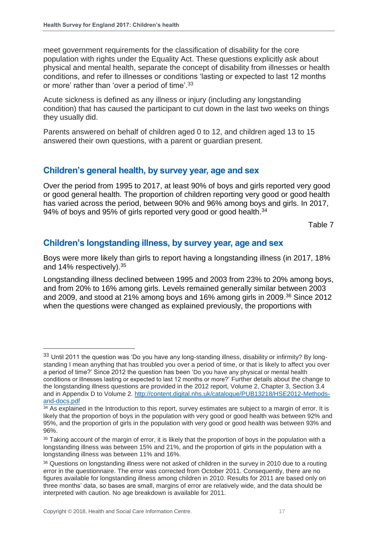meet government requirements for the classification of disability for the core population with rights under the Equality Act. These questions explicitly ask about physical and mental health, separate the concept of disability from illnesses or health conditions, and refer to illnesses or conditions 'lasting or expected to last 12 months or more' rather than 'over a period of time'.<sup>33</sup>

Acute sickness is defined as any illness or injury (including any longstanding condition) that has caused the participant to cut down in the last two weeks on things they usually did.

Parents answered on behalf of children aged 0 to 12, and children aged 13 to 15 answered their own questions, with a parent or guardian present.

## **Children's general health, by survey year, age and sex**

Over the period from 1995 to 2017, at least 90% of boys and girls reported very good or good general health. The proportion of children reporting very good or good health has varied across the period, between 90% and 96% among boys and girls. In 2017, 94% of boys and 95% of girls reported very good or good health. $34$ 

Table 7

## **Children's longstanding illness, by survey year, age and sex**

Boys were more likely than girls to report having a longstanding illness (in 2017, 18% and 14% respectively).<sup>35</sup>

Longstanding illness declined between 1995 and 2003 from 23% to 20% among boys, and from 20% to 16% among girls. Levels remained generally similar between 2003 and 2009, and stood at 21% among boys and 16% among girls in 2009. <sup>36</sup> Since 2012 when the questions were changed as explained previously, the proportions with

<sup>33</sup> Until 2011 the question was 'Do you have any long-standing illness, disability or infirmity? By longstanding I mean anything that has troubled you over a period of time, or that is likely to affect you over a period of time?' Since 2012 the question has been 'Do you have any physical or mental health conditions or illnesses lasting or expected to last 12 months or more?' Further details about the change to the longstanding illness questions are provided in the 2012 report, Volume 2, Chapter 3, Section 3.4 and in Appendix D to Volume 2. [http://content.digital.nhs.uk/catalogue/PUB13218/HSE2012-Methods](http://content.digital.nhs.uk/catalogue/PUB13218/HSE2012-Methods-and-docs.pdf)[and-docs.pdf](http://content.digital.nhs.uk/catalogue/PUB13218/HSE2012-Methods-and-docs.pdf)

<sup>&</sup>lt;sup>34</sup> As explained in the Introduction to this report, survey estimates are subject to a margin of error. It is likely that the proportion of boys in the population with very good or good health was between 92% and 95%, and the proportion of girls in the population with very good or good health was between 93% and 96%.

<sup>&</sup>lt;sup>35</sup> Taking account of the margin of error, it is likely that the proportion of boys in the population with a longstanding illness was between 15% and 21%, and the proportion of girls in the population with a longstanding illness was between 11% and 16%.

<sup>&</sup>lt;sup>36</sup> Questions on longstanding illness were not asked of children in the survey in 2010 due to a routing error in the questionnaire. The error was corrected from October 2011. Consequently, there are no figures available for longstanding illness among children in 2010. Results for 2011 are based only on three months' data, so bases are small, margins of error are relatively wide, and the data should be interpreted with caution. No age breakdown is available for 2011.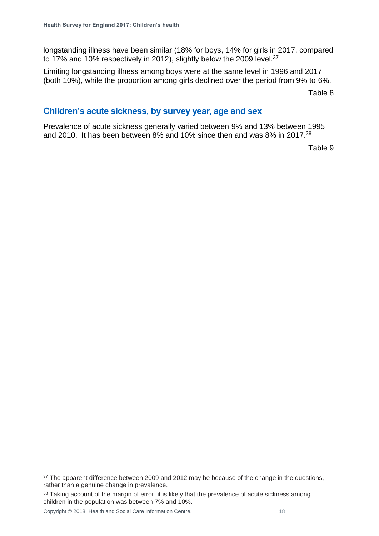longstanding illness have been similar (18% for boys, 14% for girls in 2017, compared to 17% and 10% respectively in 2012), slightly below the 2009 level.<sup>37</sup>

Limiting longstanding illness among boys were at the same level in 1996 and 2017 (both 10%), while the proportion among girls declined over the period from 9% to 6%.

Table 8

## **Children's acute sickness, by survey year, age and sex**

Prevalence of acute sickness generally varied between 9% and 13% between 1995 and 2010. It has been between 8% and 10% since then and was 8% in 2017. 38

Table 9

Copyright © 2018, Health and Social Care Information Centre. 18

l <sup>37</sup> The apparent difference between 2009 and 2012 may be because of the change in the questions, rather than a genuine change in prevalence.

<sup>&</sup>lt;sup>38</sup> Taking account of the margin of error, it is likely that the prevalence of acute sickness among children in the population was between 7% and 10%.